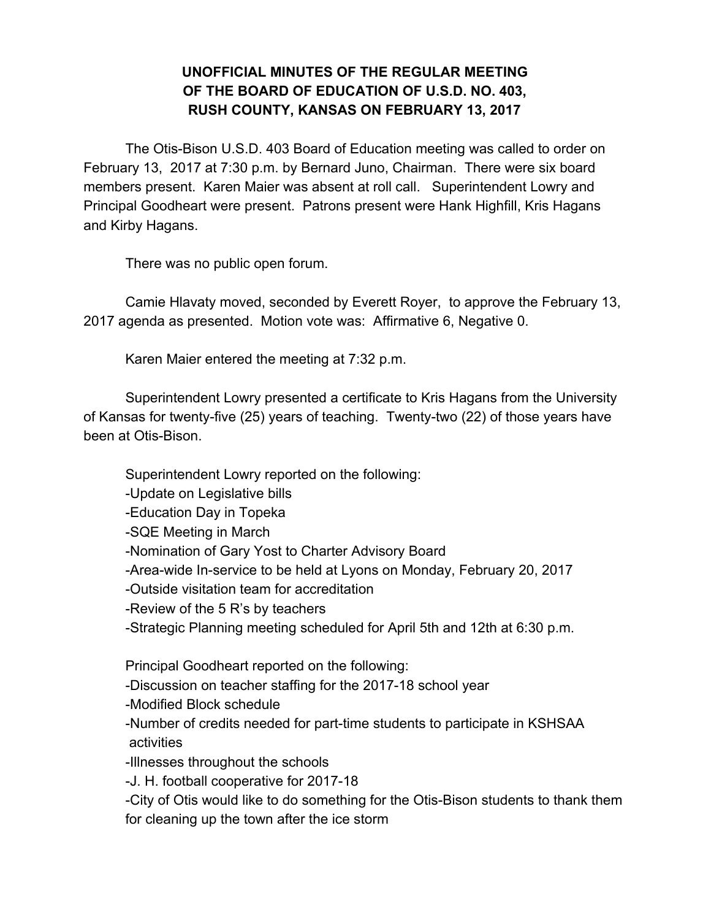## **UNOFFICIAL MINUTES OF THE REGULAR MEETING OF THE BOARD OF EDUCATION OF U.S.D. NO. 403, RUSH COUNTY, KANSAS ON FEBRUARY 13, 2017**

The Otis-Bison U.S.D. 403 Board of Education meeting was called to order on February 13, 2017 at 7:30 p.m. by Bernard Juno, Chairman. There were six board members present. Karen Maier was absent at roll call. Superintendent Lowry and Principal Goodheart were present. Patrons present were Hank Highfill, Kris Hagans and Kirby Hagans.

There was no public open forum.

Camie Hlavaty moved, seconded by Everett Royer, to approve the February 13, 2017 agenda as presented. Motion vote was: Affirmative 6, Negative 0.

Karen Maier entered the meeting at 7:32 p.m.

Superintendent Lowry presented a certificate to Kris Hagans from the University of Kansas for twenty-five (25) years of teaching. Twenty-two (22) of those years have been at Otis-Bison.

Superintendent Lowry reported on the following: -Update on Legislative bills -Education Day in Topeka -SQE Meeting in March -Nomination of Gary Yost to Charter Advisory Board -Area-wide In-service to be held at Lyons on Monday, February 20, 2017 -Outside visitation team for accreditation -Review of the 5 R's by teachers -Strategic Planning meeting scheduled for April 5th and 12th at 6:30 p.m. Principal Goodheart reported on the following: -Discussion on teacher staffing for the 2017-18 school year -Modified Block schedule -Number of credits needed for part-time students to participate in KSHSAA activities -Illnesses throughout the schools -J. H. football cooperative for 2017-18 -City of Otis would like to do something for the Otis-Bison students to thank them for cleaning up the town after the ice storm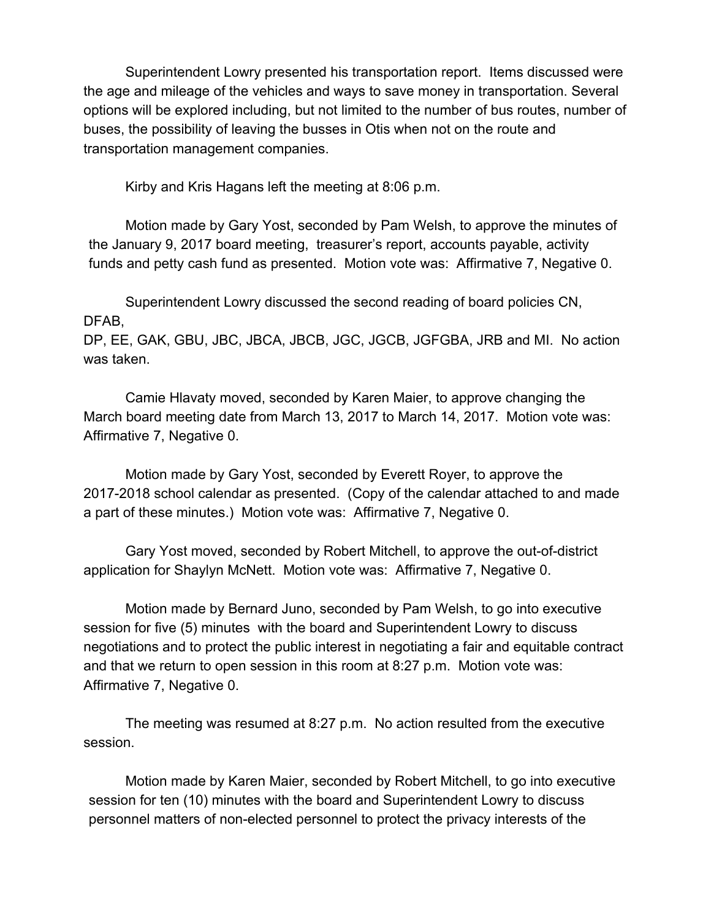Superintendent Lowry presented his transportation report. Items discussed were the age and mileage of the vehicles and ways to save money in transportation. Several options will be explored including, but not limited to the number of bus routes, number of buses, the possibility of leaving the busses in Otis when not on the route and transportation management companies.

Kirby and Kris Hagans left the meeting at 8:06 p.m.

Motion made by Gary Yost, seconded by Pam Welsh, to approve the minutes of the January 9, 2017 board meeting, treasurer's report, accounts payable, activity funds and petty cash fund as presented. Motion vote was: Affirmative 7, Negative 0.

Superintendent Lowry discussed the second reading of board policies CN, DFAB,

DP, EE, GAK, GBU, JBC, JBCA, JBCB, JGC, JGCB, JGFGBA, JRB and MI. No action was taken.

Camie Hlavaty moved, seconded by Karen Maier, to approve changing the March board meeting date from March 13, 2017 to March 14, 2017. Motion vote was: Affirmative 7, Negative 0.

Motion made by Gary Yost, seconded by Everett Royer, to approve the 2017-2018 school calendar as presented. (Copy of the calendar attached to and made a part of these minutes.) Motion vote was: Affirmative 7, Negative 0.

Gary Yost moved, seconded by Robert Mitchell, to approve the out-of-district application for Shaylyn McNett. Motion vote was: Affirmative 7, Negative 0.

Motion made by Bernard Juno, seconded by Pam Welsh, to go into executive session for five (5) minutes with the board and Superintendent Lowry to discuss negotiations and to protect the public interest in negotiating a fair and equitable contract and that we return to open session in this room at 8:27 p.m. Motion vote was: Affirmative 7, Negative 0.

The meeting was resumed at 8:27 p.m. No action resulted from the executive session.

Motion made by Karen Maier, seconded by Robert Mitchell, to go into executive session for ten (10) minutes with the board and Superintendent Lowry to discuss personnel matters of non-elected personnel to protect the privacy interests of the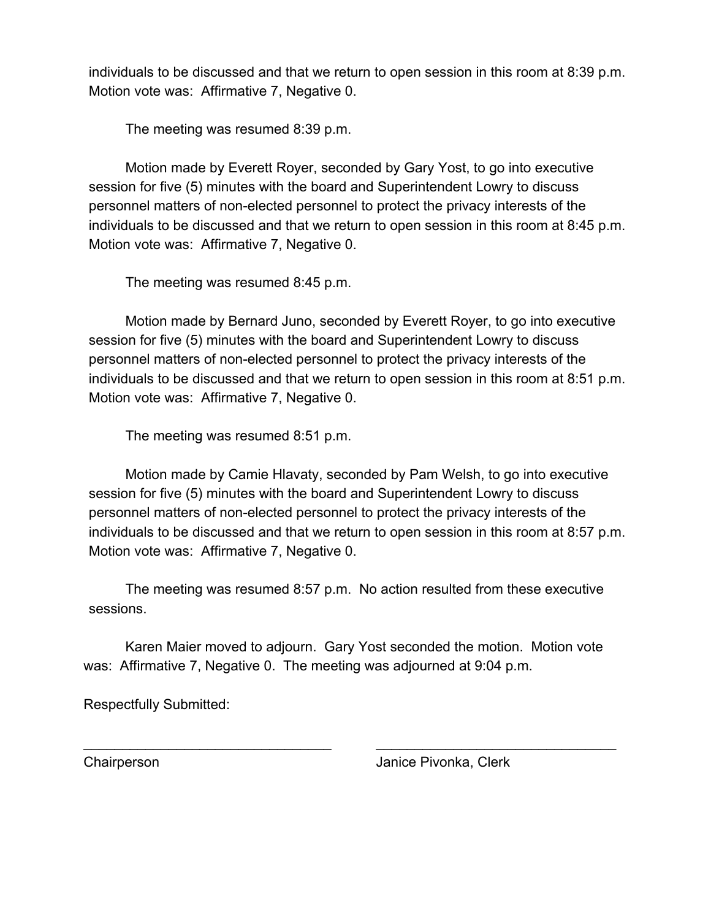individuals to be discussed and that we return to open session in this room at 8:39 p.m. Motion vote was: Affirmative 7, Negative 0.

The meeting was resumed 8:39 p.m.

Motion made by Everett Royer, seconded by Gary Yost, to go into executive session for five (5) minutes with the board and Superintendent Lowry to discuss personnel matters of non-elected personnel to protect the privacy interests of the individuals to be discussed and that we return to open session in this room at 8:45 p.m. Motion vote was: Affirmative 7, Negative 0.

The meeting was resumed 8:45 p.m.

Motion made by Bernard Juno, seconded by Everett Royer, to go into executive session for five (5) minutes with the board and Superintendent Lowry to discuss personnel matters of non-elected personnel to protect the privacy interests of the individuals to be discussed and that we return to open session in this room at 8:51 p.m. Motion vote was: Affirmative 7, Negative 0.

The meeting was resumed 8:51 p.m.

Motion made by Camie Hlavaty, seconded by Pam Welsh, to go into executive session for five (5) minutes with the board and Superintendent Lowry to discuss personnel matters of non-elected personnel to protect the privacy interests of the individuals to be discussed and that we return to open session in this room at 8:57 p.m. Motion vote was: Affirmative 7, Negative 0.

The meeting was resumed 8:57 p.m. No action resulted from these executive sessions.

Karen Maier moved to adjourn. Gary Yost seconded the motion. Motion vote was: Affirmative 7, Negative 0. The meeting was adjourned at 9:04 p.m.

\_\_\_\_\_\_\_\_\_\_\_\_\_\_\_\_\_\_\_\_\_\_\_\_\_\_\_\_\_\_\_\_ \_\_\_\_\_\_\_\_\_\_\_\_\_\_\_\_\_\_\_\_\_\_\_\_\_\_\_\_\_\_\_

Respectfully Submitted:

Chairperson Janice Pivonka, Clerk